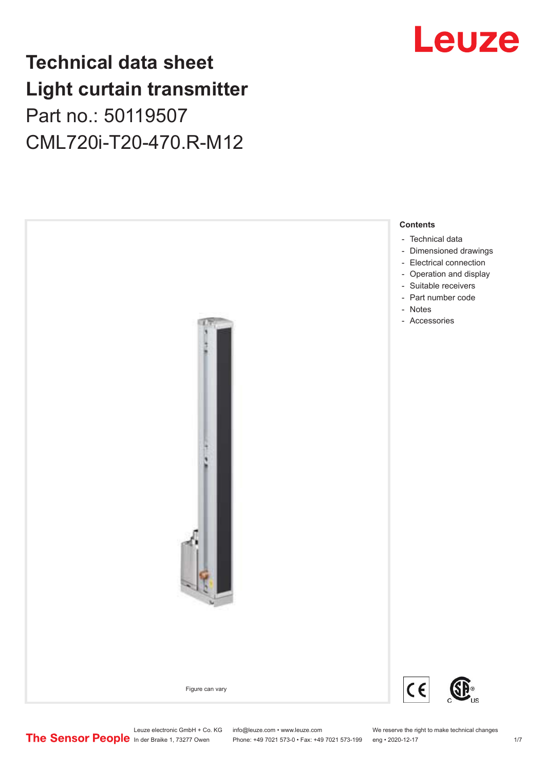# **Technical data sheet Light curtain transmitter** Part no.: 50119507 CML720i-T20-470.R-M12





Phone: +49 7021 573-0 • Fax: +49 7021 573-199 eng • 2020-12-17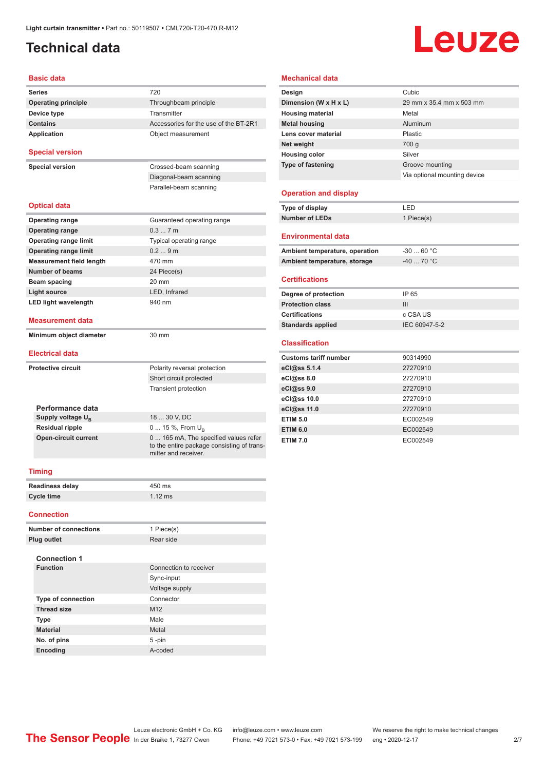# <span id="page-1-0"></span>**Technical data**

# **Leuze**

#### **Basic data**

| <b>Series</b>                                     | 720                                                                                                        |  |  |
|---------------------------------------------------|------------------------------------------------------------------------------------------------------------|--|--|
| <b>Operating principle</b>                        | Throughbeam principle                                                                                      |  |  |
| Device type                                       | Transmitter                                                                                                |  |  |
| <b>Contains</b>                                   | Accessories for the use of the BT-2R1                                                                      |  |  |
| Application                                       | Object measurement                                                                                         |  |  |
|                                                   |                                                                                                            |  |  |
| <b>Special version</b>                            |                                                                                                            |  |  |
| <b>Special version</b>                            | Crossed-beam scanning                                                                                      |  |  |
|                                                   | Diagonal-beam scanning                                                                                     |  |  |
|                                                   | Parallel-beam scanning                                                                                     |  |  |
| <b>Optical data</b>                               |                                                                                                            |  |  |
| <b>Operating range</b>                            | Guaranteed operating range                                                                                 |  |  |
| <b>Operating range</b>                            | 0.37m                                                                                                      |  |  |
| <b>Operating range limit</b>                      | Typical operating range                                                                                    |  |  |
| <b>Operating range limit</b>                      | 0.29m                                                                                                      |  |  |
| <b>Measurement field length</b>                   | 470 mm                                                                                                     |  |  |
| Number of beams                                   | 24 Piece(s)                                                                                                |  |  |
| Beam spacing                                      | 20 mm                                                                                                      |  |  |
| <b>Light source</b>                               | LED, Infrared                                                                                              |  |  |
| <b>LED light wavelength</b>                       | 940 nm                                                                                                     |  |  |
| <b>Measurement data</b>                           |                                                                                                            |  |  |
| Minimum object diameter                           | $30 \text{ mm}$                                                                                            |  |  |
| <b>Electrical data</b>                            |                                                                                                            |  |  |
| <b>Protective circuit</b>                         | Polarity reversal protection                                                                               |  |  |
|                                                   | Short circuit protected                                                                                    |  |  |
|                                                   | <b>Transient protection</b>                                                                                |  |  |
|                                                   |                                                                                                            |  |  |
| Performance data<br>Supply voltage U <sub>R</sub> | 18  30 V, DC                                                                                               |  |  |
| <b>Residual ripple</b>                            |                                                                                                            |  |  |
| <b>Open-circuit current</b>                       | 0  15 %, From $U_{\rm B}$                                                                                  |  |  |
|                                                   | 0 165 mA, The specified values refer<br>to the entire package consisting of trans-<br>mitter and receiver. |  |  |
|                                                   |                                                                                                            |  |  |

| <b>Readiness delay</b> | 450 ms    |
|------------------------|-----------|
| Cycle time             | $1.12$ ms |

#### **Connection**

| <b>Number of connections</b> | 1 Piece(s)             |
|------------------------------|------------------------|
| Plug outlet                  | Rear side              |
| <b>Connection 1</b>          |                        |
| <b>Function</b>              | Connection to receiver |
|                              | Sync-input             |
|                              | Voltage supply         |
| <b>Type of connection</b>    | Connector              |
| <b>Thread size</b>           | M <sub>12</sub>        |
| <b>Type</b>                  | Male                   |
| <b>Material</b>              | Metal                  |
| No. of pins                  | $5 - pin$              |
| <b>Encoding</b>              | A-coded                |

#### **Mechanical data**

| Design                       | Cubic                        |
|------------------------------|------------------------------|
| Dimension (W x H x L)        | 29 mm x 35.4 mm x 503 mm     |
| <b>Housing material</b>      | Metal                        |
| <b>Metal housing</b>         | Aluminum                     |
| Lens cover material          | Plastic                      |
| Net weight                   | 700 g                        |
| <b>Housing color</b>         | Silver                       |
| <b>Type of fastening</b>     | Groove mounting              |
|                              | Via optional mounting device |
| <b>Operation and display</b> |                              |

| Type of display | I FD       |
|-----------------|------------|
| Number of LEDs  | 1 Piece(s) |

#### **Environmental data**

| Ambient temperature, operation | -30  60 °C |
|--------------------------------|------------|
| Ambient temperature, storage   | -40  70 °C |

#### **Certifications**

| Degree of protection     | IP 65         |
|--------------------------|---------------|
| <b>Protection class</b>  | Ш             |
| <b>Certifications</b>    | c CSA US      |
| <b>Standards applied</b> | IEC 60947-5-2 |

#### **Classification**

| <b>Customs tariff number</b> | 90314990 |
|------------------------------|----------|
| eCl@ss 5.1.4                 | 27270910 |
| eCl@ss 8.0                   | 27270910 |
| eCl@ss 9.0                   | 27270910 |
| eCl@ss 10.0                  | 27270910 |
| eCl@ss 11.0                  | 27270910 |
| <b>ETIM 5.0</b>              | EC002549 |
| <b>ETIM 6.0</b>              | EC002549 |
| <b>ETIM 7.0</b>              | EC002549 |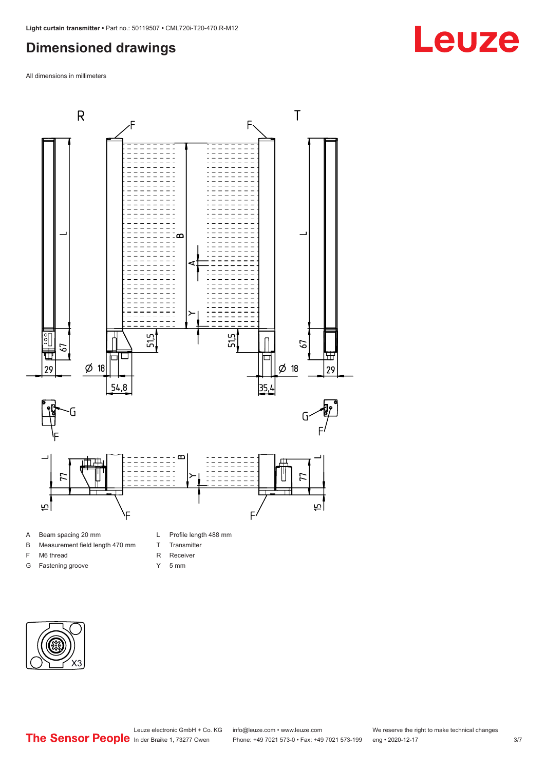### <span id="page-2-0"></span>**Dimensioned drawings**

All dimensions in millimeters



B Measurement field length 470 mm

F M6 thread G Fastening groove

- T Transmitter
	- R Receiver
	- Y 5 mm
- 



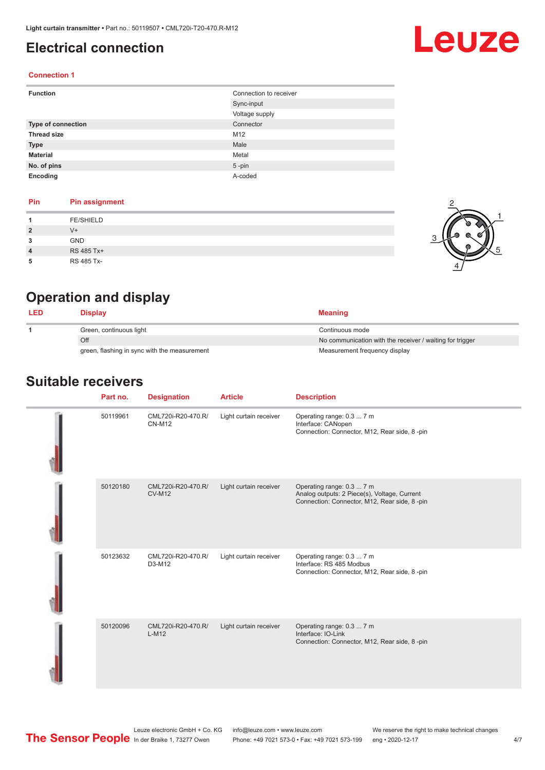## <span id="page-3-0"></span>**Electrical connection**

# **Leuze**

2

1

5

#### **Connection 1**

| <b>Function</b>           | Connection to receiver |
|---------------------------|------------------------|
|                           | Sync-input             |
|                           | Voltage supply         |
| <b>Type of connection</b> | Connector              |
| <b>Thread size</b>        | M12                    |
| <b>Type</b>               | Male                   |
| <b>Material</b>           | Metal                  |
| No. of pins               | $5$ -pin               |
| Encoding                  | A-coded                |

#### **Pin Pin assignment**

|                | <b>FE/SHIELD</b> |     |
|----------------|------------------|-----|
| $\overline{2}$ | $V +$            | - 6 |
| 3              | <b>GND</b>       |     |
| $\overline{4}$ | RS 485 Tx+       |     |
| 5              | RS 485 Tx-       |     |

# **Operation and display**

| <b>LED</b>              | Display                                      | <b>Meaning</b>                                           |
|-------------------------|----------------------------------------------|----------------------------------------------------------|
| Green, continuous light |                                              | Continuous mode                                          |
|                         | Off                                          | No communication with the receiver / waiting for trigger |
|                         | green, flashing in sync with the measurement | Measurement frequency display                            |

#### **Suitable receivers**

| Part no. | <b>Designation</b>                  | <b>Article</b>         | <b>Description</b>                                                                                                        |
|----------|-------------------------------------|------------------------|---------------------------------------------------------------------------------------------------------------------------|
| 50119961 | CML720i-R20-470.R/<br><b>CN-M12</b> | Light curtain receiver | Operating range: 0.3  7 m<br>Interface: CANopen<br>Connection: Connector, M12, Rear side, 8-pin                           |
| 50120180 | CML720i-R20-470.R/<br><b>CV-M12</b> | Light curtain receiver | Operating range: 0.3  7 m<br>Analog outputs: 2 Piece(s), Voltage, Current<br>Connection: Connector, M12, Rear side, 8-pin |
| 50123632 | CML720i-R20-470.R/<br>D3-M12        | Light curtain receiver | Operating range: 0.3  7 m<br>Interface: RS 485 Modbus<br>Connection: Connector, M12, Rear side, 8-pin                     |
| 50120096 | CML720i-R20-470.R/<br>$L-M12$       | Light curtain receiver | Operating range: 0.3  7 m<br>Interface: IO-Link<br>Connection: Connector, M12, Rear side, 8-pin                           |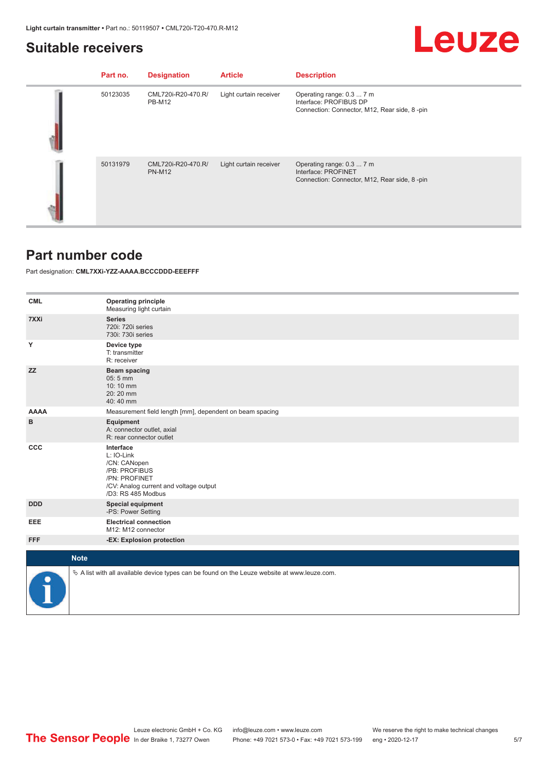### <span id="page-4-0"></span>**Suitable receivers**

|--|

| Part no. | <b>Designation</b>                  | <b>Article</b>         | <b>Description</b>                                                                                  |
|----------|-------------------------------------|------------------------|-----------------------------------------------------------------------------------------------------|
| 50123035 | CML720i-R20-470.R/<br><b>PB-M12</b> | Light curtain receiver | Operating range: 0.3  7 m<br>Interface: PROFIBUS DP<br>Connection: Connector, M12, Rear side, 8-pin |
| 50131979 | CML720i-R20-470.R/<br><b>PN-M12</b> | Light curtain receiver | Operating range: 0.3  7 m<br>Interface: PROFINET<br>Connection: Connector, M12, Rear side, 8-pin    |

#### **Part number code**

Part designation: **CML7XXi-YZZ-AAAA.BCCCDDD-EEEFFF**

| <b>CML</b>  | <b>Operating principle</b><br>Measuring light curtain                                                                                     |
|-------------|-------------------------------------------------------------------------------------------------------------------------------------------|
| 7XXi        | <b>Series</b><br>720i: 720i series<br>730i: 730i series                                                                                   |
| Υ           | Device type<br>T: transmitter<br>R: receiver                                                                                              |
| <b>ZZ</b>   | Beam spacing<br>05:5 mm<br>10:10 mm<br>20:20 mm<br>40:40 mm                                                                               |
| <b>AAAA</b> | Measurement field length [mm], dependent on beam spacing                                                                                  |
| в           | Equipment<br>A: connector outlet, axial<br>R: rear connector outlet                                                                       |
| <b>CCC</b>  | Interface<br>L: IO-Link<br>/CN: CANopen<br>/PB: PROFIBUS<br>/PN: PROFINET<br>/CV: Analog current and voltage output<br>/D3: RS 485 Modbus |
| <b>DDD</b>  | <b>Special equipment</b><br>-PS: Power Setting                                                                                            |
| EEE         | <b>Electrical connection</b><br>M12: M12 connector                                                                                        |
| <b>FFF</b>  | -EX: Explosion protection                                                                                                                 |
|             | <b>Note</b>                                                                                                                               |
|             |                                                                                                                                           |
|             | $\&$ A list with all available device types can be found on the Leuze website at www.leuze.com.                                           |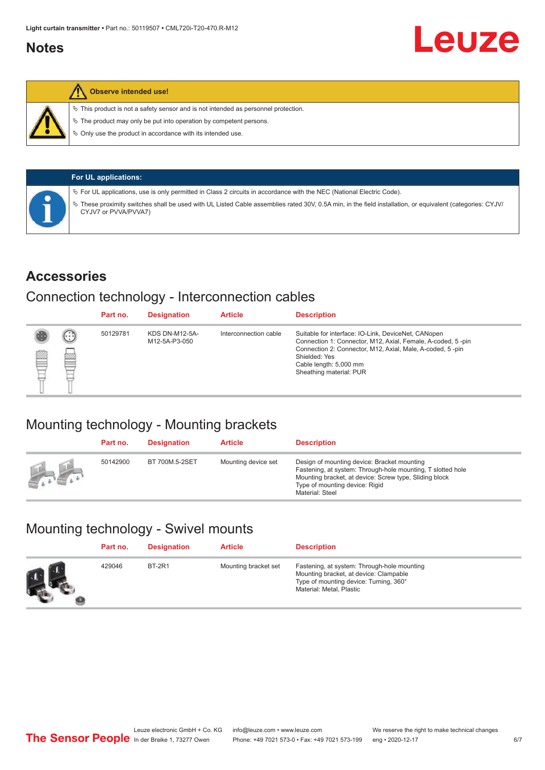### <span id="page-5-0"></span>**Notes**



#### **Observe intended use!**

 $\%$  This product is not a safety sensor and is not intended as personnel protection.

 $\%$  The product may only be put into operation by competent persons.

 $\%$  Only use the product in accordance with its intended use.

| <b>For UL applications:</b>                                                                                                                                                     |
|---------------------------------------------------------------------------------------------------------------------------------------------------------------------------------|
| $\%$ For UL applications, use is only permitted in Class 2 circuits in accordance with the NEC (National Electric Code).                                                        |
| These proximity switches shall be used with UL Listed Cable assemblies rated 30V, 0.5A min, in the field installation, or equivalent (categories: CYJV/<br>CYJV7 or PVVA/PVVA7) |

#### **Accessories**

#### Connection technology - Interconnection cables

|   |        | Part no. | <b>Designation</b>                     | <b>Article</b>        | <b>Description</b>                                                                                                                                                                                                                                    |
|---|--------|----------|----------------------------------------|-----------------------|-------------------------------------------------------------------------------------------------------------------------------------------------------------------------------------------------------------------------------------------------------|
| Ø | ⊙<br>œ | 50129781 | <b>KDS DN-M12-5A-</b><br>M12-5A-P3-050 | Interconnection cable | Suitable for interface: IO-Link, DeviceNet, CANopen<br>Connection 1: Connector, M12, Axial, Female, A-coded, 5-pin<br>Connection 2: Connector, M12, Axial, Male, A-coded, 5-pin<br>Shielded: Yes<br>Cable length: 5,000 mm<br>Sheathing material: PUR |

# Mounting technology - Mounting brackets

|                    | Part no. | <b>Designation</b> | <b>Article</b>      | <b>Description</b>                                                                                                                                                                                                        |
|--------------------|----------|--------------------|---------------------|---------------------------------------------------------------------------------------------------------------------------------------------------------------------------------------------------------------------------|
| <b>All Control</b> | 50142900 | BT 700M.5-2SET     | Mounting device set | Design of mounting device: Bracket mounting<br>Fastening, at system: Through-hole mounting, T slotted hole<br>Mounting bracket, at device: Screw type, Sliding block<br>Type of mounting device: Rigid<br>Material: Steel |

# Mounting technology - Swivel mounts

| Part no. | <b>Designation</b> | <b>Article</b>       | <b>Description</b>                                                                                                                                          |
|----------|--------------------|----------------------|-------------------------------------------------------------------------------------------------------------------------------------------------------------|
| 429046   | <b>BT-2R1</b>      | Mounting bracket set | Fastening, at system: Through-hole mounting<br>Mounting bracket, at device: Clampable<br>Type of mounting device: Turning, 360°<br>Material: Metal, Plastic |

Leuze